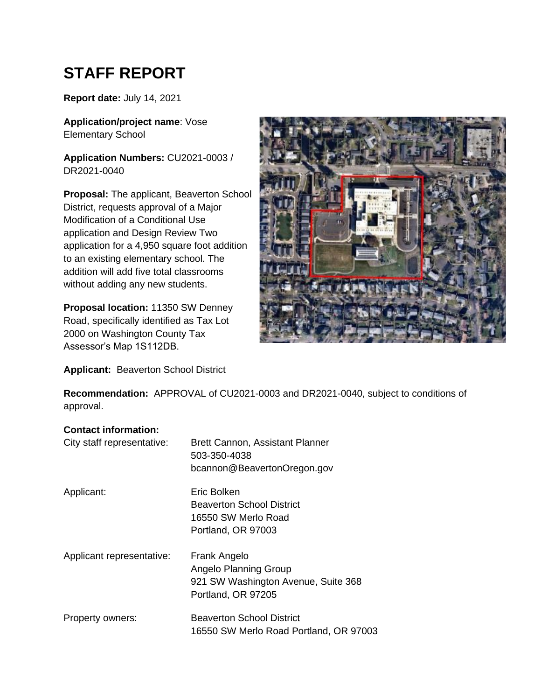# <span id="page-0-0"></span>**STAFF REPORT**

**Report date:** July 14, 2021

**Application/project name**: Vose Elementary School

**Application Numbers:** CU2021-0003 / DR2021-0040

**Proposal:** The applicant, Beaverton School District, requests approval of a Major Modification of a Conditional Use application and Design Review Two application for a 4,950 square foot addition to an existing elementary school. The addition will add five total classrooms without adding any new students.

**Proposal location:** 11350 SW Denney Road, specifically identified as Tax Lot 2000 on Washington County Tax Assessor's Map 1S112DB.



**Applicant:** Beaverton School District

**Recommendation:** APPROVAL of CU2021-0003 and DR2021-0040, subject to conditions of approval.

#### **Contact information:**

| City staff representative: | Brett Cannon, Assistant Planner<br>503-350-4038<br>bcannon@BeavertonOregon.gov                            |
|----------------------------|-----------------------------------------------------------------------------------------------------------|
| Applicant:                 | Eric Bolken<br><b>Beaverton School District</b><br>16550 SW Merlo Road<br>Portland, OR 97003              |
| Applicant representative:  | Frank Angelo<br><b>Angelo Planning Group</b><br>921 SW Washington Avenue, Suite 368<br>Portland, OR 97205 |
| Property owners:           | <b>Beaverton School District</b><br>16550 SW Merlo Road Portland, OR 97003                                |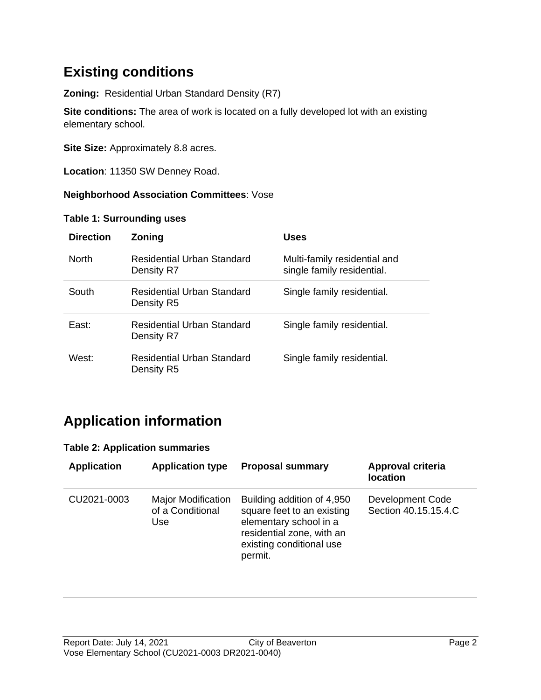## **Existing conditions**

**Zoning:** Residential Urban Standard Density (R7)

**Site conditions:** The area of work is located on a fully developed lot with an existing elementary school.

**Site Size:** Approximately 8.8 acres.

**Location**: 11350 SW Denney Road.

#### **Neighborhood Association Committees**: Vose

#### **Table 1: Surrounding uses**

| <b>Direction</b>  | <b>Zoning</b>                                   | <b>Uses</b>                                                |
|-------------------|-------------------------------------------------|------------------------------------------------------------|
| <b>North</b>      | Residential Urban Standard<br>Density R7        | Multi-family residential and<br>single family residential. |
| South             | Residential Urban Standard<br>Density R5        | Single family residential.                                 |
| East:             | <b>Residential Urban Standard</b><br>Density R7 | Single family residential.                                 |
| West <sup>-</sup> | Residential Urban Standard<br>Density R5        | Single family residential.                                 |

### **Application information**

#### **Table 2: Application summaries**

| <b>Application</b> | <b>Application type</b>                              | <b>Proposal summary</b>                                                                                                                                | Approval criteria<br><b>location</b>     |
|--------------------|------------------------------------------------------|--------------------------------------------------------------------------------------------------------------------------------------------------------|------------------------------------------|
| CU2021-0003        | <b>Major Modification</b><br>of a Conditional<br>Use | Building addition of 4,950<br>square feet to an existing<br>elementary school in a<br>residential zone, with an<br>existing conditional use<br>permit. | Development Code<br>Section 40.15.15.4.C |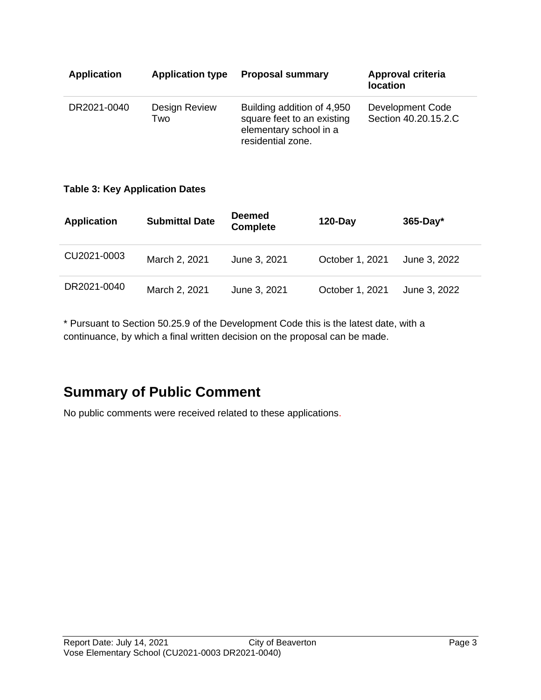| <b>Application</b> | <b>Application type</b> | <b>Proposal summary</b>                                                                                 | Approval criteria<br>location            |
|--------------------|-------------------------|---------------------------------------------------------------------------------------------------------|------------------------------------------|
| DR2021-0040        | Design Review<br>Two    | Building addition of 4,950<br>square feet to an existing<br>elementary school in a<br>residential zone. | Development Code<br>Section 40.20.15.2.C |

#### **Table 3: Key Application Dates**

| <b>Application</b> | <b>Submittal Date</b> | <b>Deemed</b><br><b>Complete</b> | $120 - Day$     | $365$ -Day*  |
|--------------------|-----------------------|----------------------------------|-----------------|--------------|
| CU2021-0003        | March 2, 2021         | June 3, 2021                     | October 1, 2021 | June 3, 2022 |
| DR2021-0040        | March 2, 2021         | June 3, 2021                     | October 1, 2021 | June 3, 2022 |

\* Pursuant to Section 50.25.9 of the Development Code this is the latest date, with a continuance, by which a final written decision on the proposal can be made.

### **Summary of Public Comment**

No public comments were received related to these applications.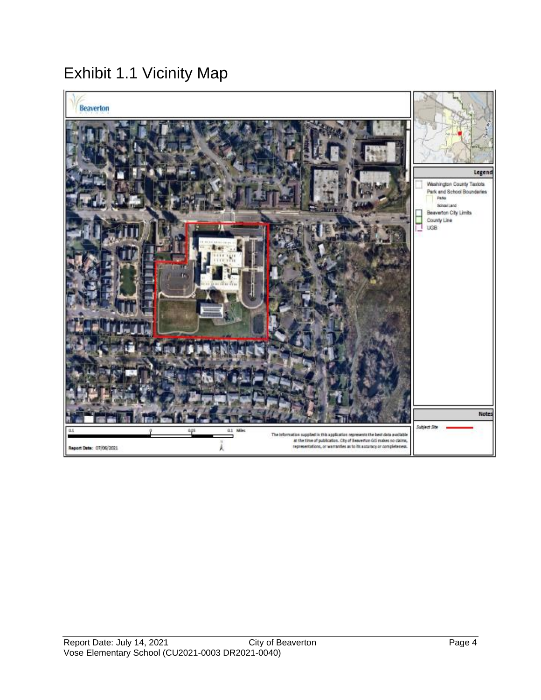## Exhibit 1.1 Vicinity Map

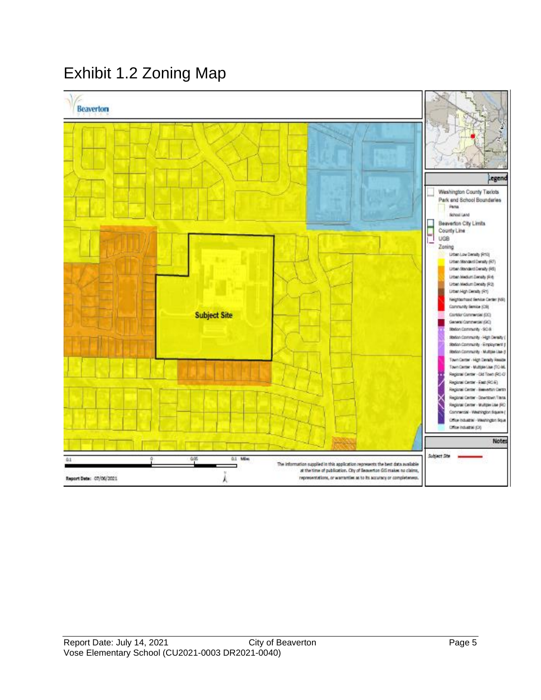## Exhibit 1.2 Zoning Map

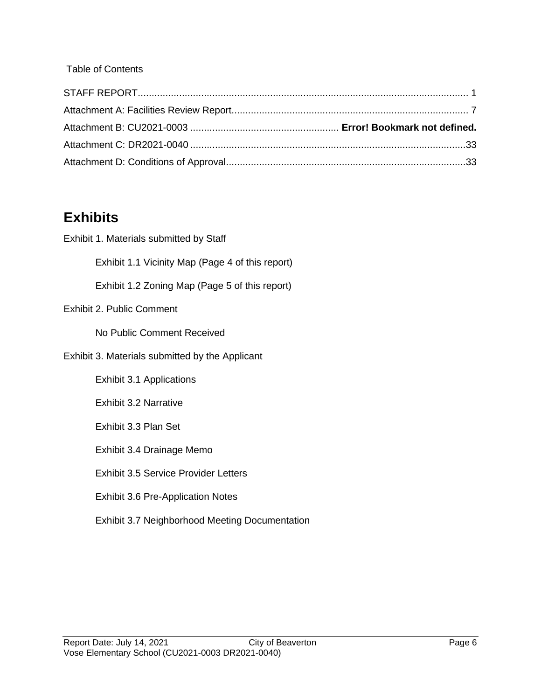#### Table of Contents

## **Exhibits**

| Exhibit 1. Materials submitted by Staff               |
|-------------------------------------------------------|
| Exhibit 1.1 Vicinity Map (Page 4 of this report)      |
| Exhibit 1.2 Zoning Map (Page 5 of this report)        |
| <b>Exhibit 2. Public Comment</b>                      |
| No Public Comment Received                            |
| Exhibit 3. Materials submitted by the Applicant       |
| <b>Exhibit 3.1 Applications</b>                       |
| <b>Exhibit 3.2 Narrative</b>                          |
| Exhibit 3.3 Plan Set                                  |
| Exhibit 3.4 Drainage Memo                             |
| <b>Exhibit 3.5 Service Provider Letters</b>           |
| <b>Exhibit 3.6 Pre-Application Notes</b>              |
| <b>Exhibit 3.7 Neighborhood Meeting Documentation</b> |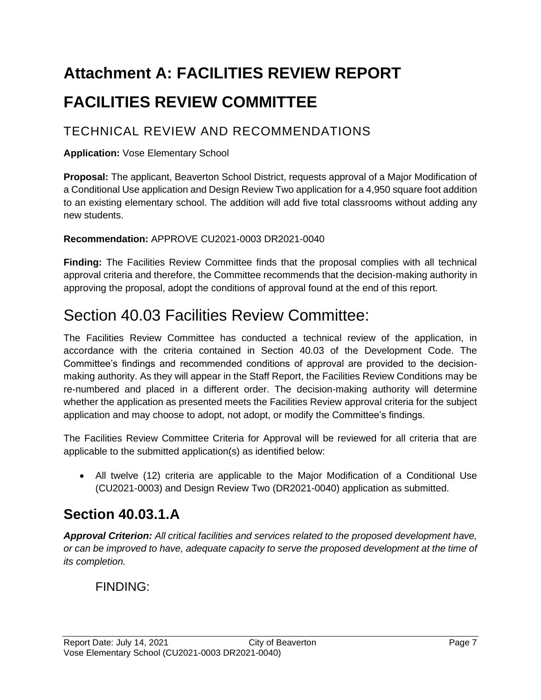# <span id="page-6-0"></span>**Attachment A: FACILITIES REVIEW REPORT FACILITIES REVIEW COMMITTEE**

### TECHNICAL REVIEW AND RECOMMENDATIONS

#### **Application:** Vose Elementary School

**Proposal:** The applicant, Beaverton School District, requests approval of a Major Modification of a Conditional Use application and Design Review Two application for a 4,950 square foot addition to an existing elementary school. The addition will add five total classrooms without adding any new students.

#### **Recommendation:** APPROVE CU2021-0003 DR2021-0040

**Finding:** The Facilities Review Committee finds that the proposal complies with all technical approval criteria and therefore, the Committee recommends that the decision-making authority in approving the proposal, adopt the conditions of approval found at the end of this report.

## Section 40.03 Facilities Review Committee:

The Facilities Review Committee has conducted a technical review of the application, in accordance with the criteria contained in Section 40.03 of the Development Code. The Committee's findings and recommended conditions of approval are provided to the decisionmaking authority. As they will appear in the Staff Report, the Facilities Review Conditions may be re-numbered and placed in a different order. The decision-making authority will determine whether the application as presented meets the Facilities Review approval criteria for the subject application and may choose to adopt, not adopt, or modify the Committee's findings.

The Facilities Review Committee Criteria for Approval will be reviewed for all criteria that are applicable to the submitted application(s) as identified below:

• All twelve (12) criteria are applicable to the Major Modification of a Conditional Use (CU2021-0003) and Design Review Two (DR2021-0040) application as submitted.

### **Section 40.03.1.A**

*Approval Criterion: All critical facilities and services related to the proposed development have, or can be improved to have, adequate capacity to serve the proposed development at the time of its completion.*

### FINDING: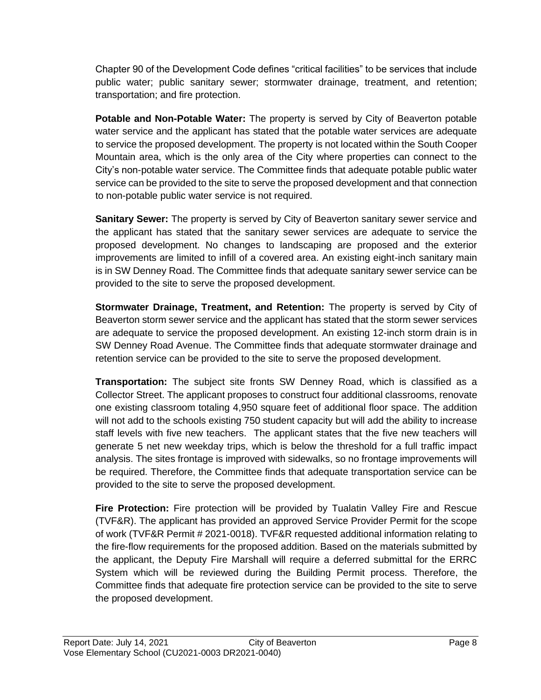Chapter 90 of the Development Code defines "critical facilities" to be services that include public water; public sanitary sewer; stormwater drainage, treatment, and retention; transportation; and fire protection.

**Potable and Non-Potable Water:** The property is served by City of Beaverton potable water service and the applicant has stated that the potable water services are adequate to service the proposed development. The property is not located within the South Cooper Mountain area, which is the only area of the City where properties can connect to the City's non-potable water service. The Committee finds that adequate potable public water service can be provided to the site to serve the proposed development and that connection to non-potable public water service is not required.

**Sanitary Sewer:** The property is served by City of Beaverton sanitary sewer service and the applicant has stated that the sanitary sewer services are adequate to service the proposed development. No changes to landscaping are proposed and the exterior improvements are limited to infill of a covered area. An existing eight-inch sanitary main is in SW Denney Road. The Committee finds that adequate sanitary sewer service can be provided to the site to serve the proposed development.

**Stormwater Drainage, Treatment, and Retention:** The property is served by City of Beaverton storm sewer service and the applicant has stated that the storm sewer services are adequate to service the proposed development. An existing 12-inch storm drain is in SW Denney Road Avenue. The Committee finds that adequate stormwater drainage and retention service can be provided to the site to serve the proposed development.

**Transportation:** The subject site fronts SW Denney Road, which is classified as a Collector Street. The applicant proposes to construct four additional classrooms, renovate one existing classroom totaling 4,950 square feet of additional floor space. The addition will not add to the schools existing 750 student capacity but will add the ability to increase staff levels with five new teachers. The applicant states that the five new teachers will generate 5 net new weekday trips, which is below the threshold for a full traffic impact analysis. The sites frontage is improved with sidewalks, so no frontage improvements will be required. Therefore, the Committee finds that adequate transportation service can be provided to the site to serve the proposed development.

**Fire Protection:** Fire protection will be provided by Tualatin Valley Fire and Rescue (TVF&R). The applicant has provided an approved Service Provider Permit for the scope of work (TVF&R Permit # 2021-0018). TVF&R requested additional information relating to the fire-flow requirements for the proposed addition. Based on the materials submitted by the applicant, the Deputy Fire Marshall will require a deferred submittal for the ERRC System which will be reviewed during the Building Permit process. Therefore, the Committee finds that adequate fire protection service can be provided to the site to serve the proposed development.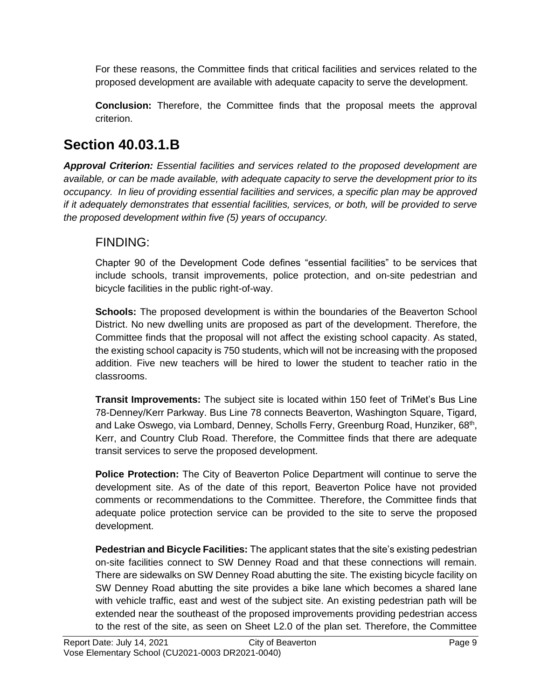For these reasons, the Committee finds that critical facilities and services related to the proposed development are available with adequate capacity to serve the development.

**Conclusion:** Therefore, the Committee finds that the proposal meets the approval criterion.

### **Section 40.03.1.B**

*Approval Criterion: Essential facilities and services related to the proposed development are available, or can be made available, with adequate capacity to serve the development prior to its occupancy. In lieu of providing essential facilities and services, a specific plan may be approved if it adequately demonstrates that essential facilities, services, or both, will be provided to serve the proposed development within five (5) years of occupancy.*

### FINDING:

Chapter 90 of the Development Code defines "essential facilities" to be services that include schools, transit improvements, police protection, and on-site pedestrian and bicycle facilities in the public right-of-way.

**Schools:** The proposed development is within the boundaries of the Beaverton School District. No new dwelling units are proposed as part of the development. Therefore, the Committee finds that the proposal will not affect the existing school capacity. As stated, the existing school capacity is 750 students, which will not be increasing with the proposed addition. Five new teachers will be hired to lower the student to teacher ratio in the classrooms.

**Transit Improvements:** The subject site is located within 150 feet of TriMet's Bus Line 78-Denney/Kerr Parkway. Bus Line 78 connects Beaverton, Washington Square, Tigard, and Lake Oswego, via Lombard, Denney, Scholls Ferry, Greenburg Road, Hunziker, 68<sup>th</sup>, Kerr, and Country Club Road. Therefore, the Committee finds that there are adequate transit services to serve the proposed development.

**Police Protection:** The City of Beaverton Police Department will continue to serve the development site. As of the date of this report, Beaverton Police have not provided comments or recommendations to the Committee. Therefore, the Committee finds that adequate police protection service can be provided to the site to serve the proposed development.

**Pedestrian and Bicycle Facilities:** The applicant states that the site's existing pedestrian on-site facilities connect to SW Denney Road and that these connections will remain. There are sidewalks on SW Denney Road abutting the site. The existing bicycle facility on SW Denney Road abutting the site provides a bike lane which becomes a shared lane with vehicle traffic, east and west of the subject site. An existing pedestrian path will be extended near the southeast of the proposed improvements providing pedestrian access to the rest of the site, as seen on Sheet L2.0 of the plan set. Therefore, the Committee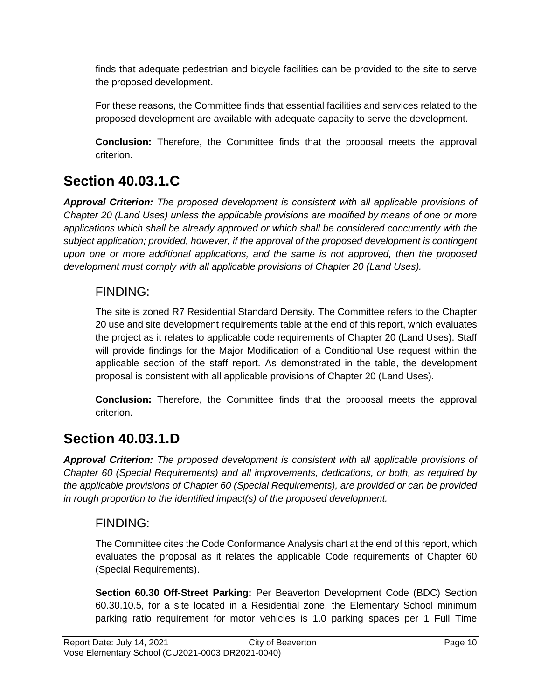finds that adequate pedestrian and bicycle facilities can be provided to the site to serve the proposed development.

For these reasons, the Committee finds that essential facilities and services related to the proposed development are available with adequate capacity to serve the development.

**Conclusion:** Therefore, the Committee finds that the proposal meets the approval criterion.

## **Section 40.03.1.C**

*Approval Criterion: The proposed development is consistent with all applicable provisions of Chapter 20 (Land Uses) unless the applicable provisions are modified by means of one or more applications which shall be already approved or which shall be considered concurrently with the subject application; provided, however, if the approval of the proposed development is contingent upon one or more additional applications, and the same is not approved, then the proposed development must comply with all applicable provisions of Chapter 20 (Land Uses).*

### FINDING:

The site is zoned R7 Residential Standard Density. The Committee refers to the Chapter 20 use and site development requirements table at the end of this report, which evaluates the project as it relates to applicable code requirements of Chapter 20 (Land Uses). Staff will provide findings for the Major Modification of a Conditional Use request within the applicable section of the staff report. As demonstrated in the table, the development proposal is consistent with all applicable provisions of Chapter 20 (Land Uses).

**Conclusion:** Therefore, the Committee finds that the proposal meets the approval criterion.

### **Section 40.03.1.D**

*Approval Criterion: The proposed development is consistent with all applicable provisions of Chapter 60 (Special Requirements) and all improvements, dedications, or both, as required by the applicable provisions of Chapter 60 (Special Requirements), are provided or can be provided in rough proportion to the identified impact(s) of the proposed development.*

### FINDING:

The Committee cites the Code Conformance Analysis chart at the end of this report, which evaluates the proposal as it relates the applicable Code requirements of Chapter 60 (Special Requirements).

**Section 60.30 Off-Street Parking:** Per Beaverton Development Code (BDC) Section 60.30.10.5, for a site located in a Residential zone, the Elementary School minimum parking ratio requirement for motor vehicles is 1.0 parking spaces per 1 Full Time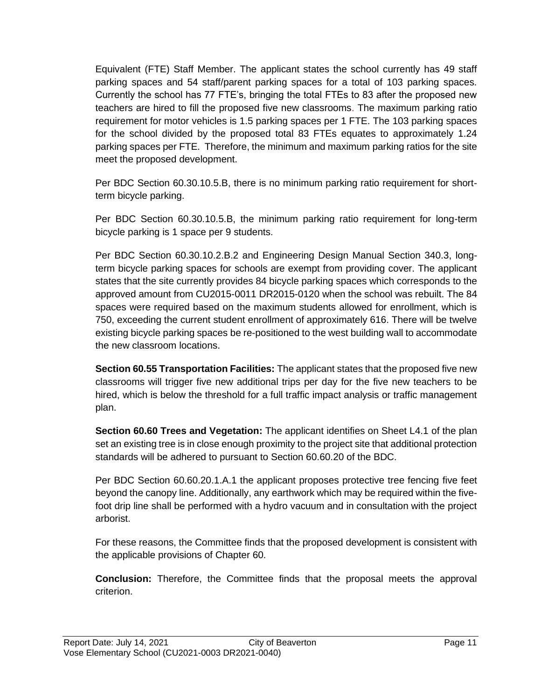Equivalent (FTE) Staff Member. The applicant states the school currently has 49 staff parking spaces and 54 staff/parent parking spaces for a total of 103 parking spaces. Currently the school has 77 FTE's, bringing the total FTEs to 83 after the proposed new teachers are hired to fill the proposed five new classrooms. The maximum parking ratio requirement for motor vehicles is 1.5 parking spaces per 1 FTE. The 103 parking spaces for the school divided by the proposed total 83 FTEs equates to approximately 1.24 parking spaces per FTE. Therefore, the minimum and maximum parking ratios for the site meet the proposed development.

Per BDC Section 60.30.10.5.B, there is no minimum parking ratio requirement for shortterm bicycle parking.

Per BDC Section 60.30.10.5.B, the minimum parking ratio requirement for long-term bicycle parking is 1 space per 9 students.

Per BDC Section 60.30.10.2.B.2 and Engineering Design Manual Section 340.3, longterm bicycle parking spaces for schools are exempt from providing cover. The applicant states that the site currently provides 84 bicycle parking spaces which corresponds to the approved amount from CU2015-0011 DR2015-0120 when the school was rebuilt. The 84 spaces were required based on the maximum students allowed for enrollment, which is 750, exceeding the current student enrollment of approximately 616. There will be twelve existing bicycle parking spaces be re-positioned to the west building wall to accommodate the new classroom locations.

**Section 60.55 Transportation Facilities:** The applicant states that the proposed five new classrooms will trigger five new additional trips per day for the five new teachers to be hired, which is below the threshold for a full traffic impact analysis or traffic management plan.

**Section 60.60 Trees and Vegetation:** The applicant identifies on Sheet L4.1 of the plan set an existing tree is in close enough proximity to the project site that additional protection standards will be adhered to pursuant to Section 60.60.20 of the BDC.

Per BDC Section 60.60.20.1.A.1 the applicant proposes protective tree fencing five feet beyond the canopy line. Additionally, any earthwork which may be required within the fivefoot drip line shall be performed with a hydro vacuum and in consultation with the project arborist.

For these reasons, the Committee finds that the proposed development is consistent with the applicable provisions of Chapter 60.

**Conclusion:** Therefore, the Committee finds that the proposal meets the approval criterion.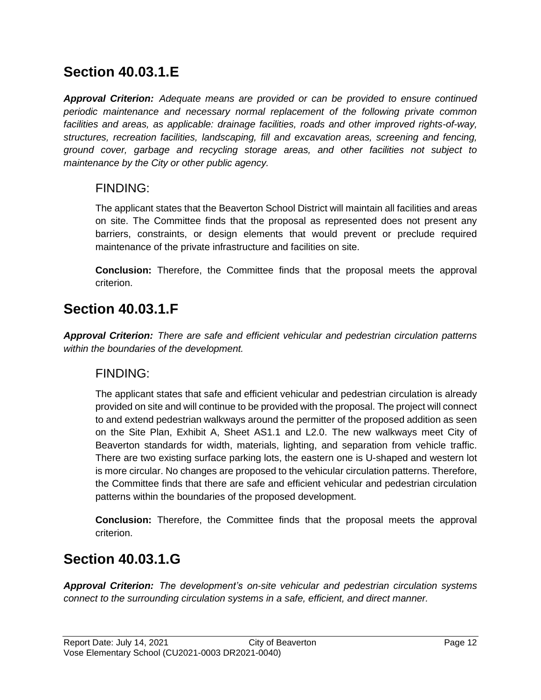### **Section 40.03.1.E**

*Approval Criterion: Adequate means are provided or can be provided to ensure continued periodic maintenance and necessary normal replacement of the following private common facilities and areas, as applicable: drainage facilities, roads and other improved rights-of-way, structures, recreation facilities, landscaping, fill and excavation areas, screening and fencing, ground cover, garbage and recycling storage areas, and other facilities not subject to maintenance by the City or other public agency.*

### FINDING:

The applicant states that the Beaverton School District will maintain all facilities and areas on site. The Committee finds that the proposal as represented does not present any barriers, constraints, or design elements that would prevent or preclude required maintenance of the private infrastructure and facilities on site.

**Conclusion:** Therefore, the Committee finds that the proposal meets the approval criterion.

### **Section 40.03.1.F**

*Approval Criterion: There are safe and efficient vehicular and pedestrian circulation patterns within the boundaries of the development.*

### FINDING:

The applicant states that safe and efficient vehicular and pedestrian circulation is already provided on site and will continue to be provided with the proposal. The project will connect to and extend pedestrian walkways around the permitter of the proposed addition as seen on the Site Plan, Exhibit A, Sheet AS1.1 and L2.0. The new walkways meet City of Beaverton standards for width, materials, lighting, and separation from vehicle traffic. There are two existing surface parking lots, the eastern one is U-shaped and western lot is more circular. No changes are proposed to the vehicular circulation patterns. Therefore, the Committee finds that there are safe and efficient vehicular and pedestrian circulation patterns within the boundaries of the proposed development.

**Conclusion:** Therefore, the Committee finds that the proposal meets the approval criterion.

### **Section 40.03.1.G**

*Approval Criterion: The development's on-site vehicular and pedestrian circulation systems connect to the surrounding circulation systems in a safe, efficient, and direct manner.*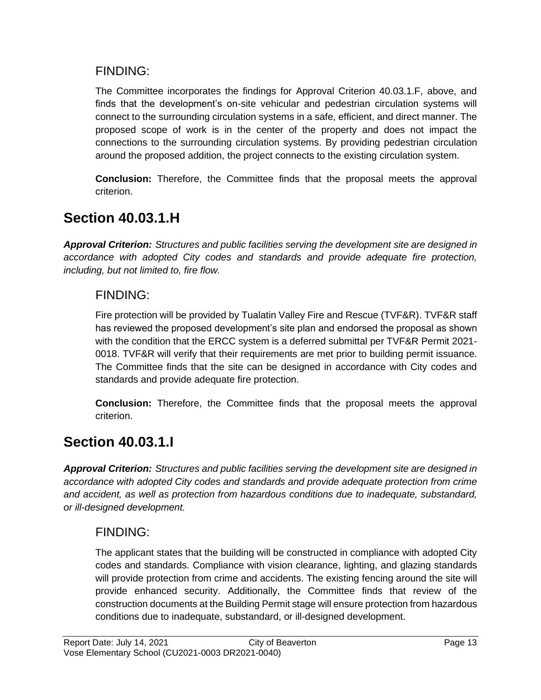### FINDING:

The Committee incorporates the findings for Approval Criterion 40.03.1.F, above, and finds that the development's on-site vehicular and pedestrian circulation systems will connect to the surrounding circulation systems in a safe, efficient, and direct manner. The proposed scope of work is in the center of the property and does not impact the connections to the surrounding circulation systems. By providing pedestrian circulation around the proposed addition, the project connects to the existing circulation system.

**Conclusion:** Therefore, the Committee finds that the proposal meets the approval criterion.

## **Section 40.03.1.H**

*Approval Criterion: Structures and public facilities serving the development site are designed in accordance with adopted City codes and standards and provide adequate fire protection, including, but not limited to, fire flow.*

### FINDING:

Fire protection will be provided by Tualatin Valley Fire and Rescue (TVF&R). TVF&R staff has reviewed the proposed development's site plan and endorsed the proposal as shown with the condition that the ERCC system is a deferred submittal per TVF&R Permit 2021- 0018. TVF&R will verify that their requirements are met prior to building permit issuance. The Committee finds that the site can be designed in accordance with City codes and standards and provide adequate fire protection.

**Conclusion:** Therefore, the Committee finds that the proposal meets the approval criterion.

## **Section 40.03.1.I**

*Approval Criterion: Structures and public facilities serving the development site are designed in accordance with adopted City codes and standards and provide adequate protection from crime and accident, as well as protection from hazardous conditions due to inadequate, substandard, or ill-designed development.*

### FINDING:

The applicant states that the building will be constructed in compliance with adopted City codes and standards. Compliance with vision clearance, lighting, and glazing standards will provide protection from crime and accidents. The existing fencing around the site will provide enhanced security. Additionally, the Committee finds that review of the construction documents at the Building Permit stage will ensure protection from hazardous conditions due to inadequate, substandard, or ill-designed development.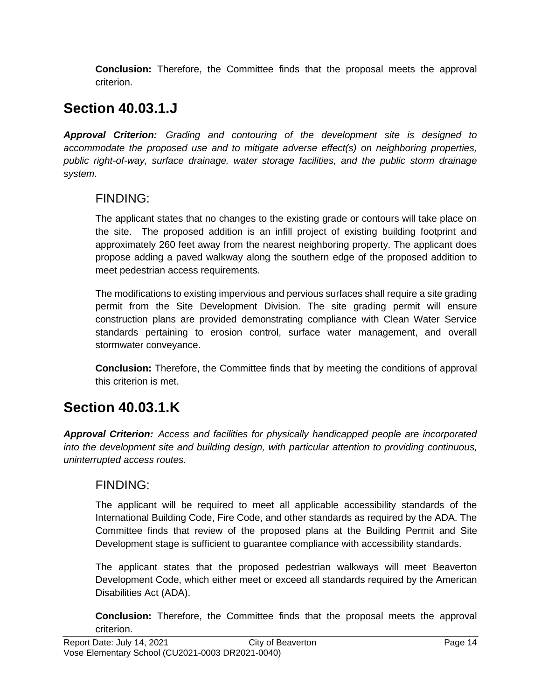**Conclusion:** Therefore, the Committee finds that the proposal meets the approval criterion.

### **Section 40.03.1.J**

*Approval Criterion: Grading and contouring of the development site is designed to accommodate the proposed use and to mitigate adverse effect(s) on neighboring properties, public right-of-way, surface drainage, water storage facilities, and the public storm drainage system.*

### FINDING:

The applicant states that no changes to the existing grade or contours will take place on the site. The proposed addition is an infill project of existing building footprint and approximately 260 feet away from the nearest neighboring property. The applicant does propose adding a paved walkway along the southern edge of the proposed addition to meet pedestrian access requirements.

The modifications to existing impervious and pervious surfaces shall require a site grading permit from the Site Development Division. The site grading permit will ensure construction plans are provided demonstrating compliance with Clean Water Service standards pertaining to erosion control, surface water management, and overall stormwater conveyance.

**Conclusion:** Therefore, the Committee finds that by meeting the conditions of approval this criterion is met.

## **Section 40.03.1.K**

*Approval Criterion: Access and facilities for physically handicapped people are incorporated into the development site and building design, with particular attention to providing continuous, uninterrupted access routes.*

### FINDING:

The applicant will be required to meet all applicable accessibility standards of the International Building Code, Fire Code, and other standards as required by the ADA. The Committee finds that review of the proposed plans at the Building Permit and Site Development stage is sufficient to guarantee compliance with accessibility standards.

The applicant states that the proposed pedestrian walkways will meet Beaverton Development Code, which either meet or exceed all standards required by the American Disabilities Act (ADA).

**Conclusion:** Therefore, the Committee finds that the proposal meets the approval criterion.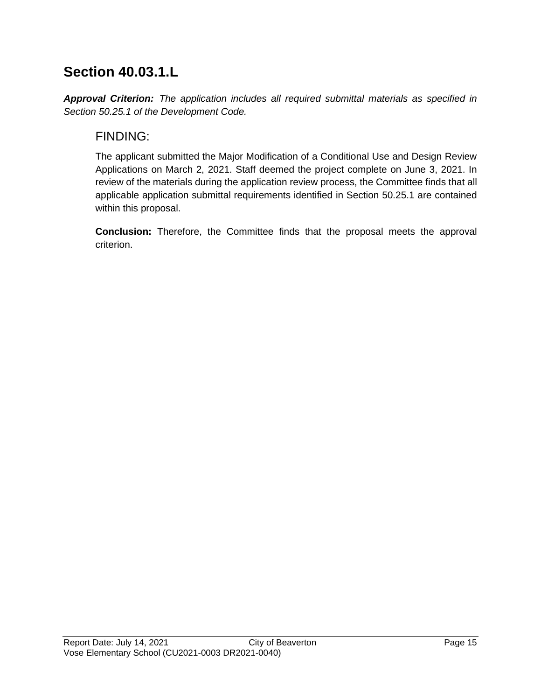## **Section 40.03.1.L**

*Approval Criterion: The application includes all required submittal materials as specified in Section 50.25.1 of the Development Code.*

### FINDING:

The applicant submitted the Major Modification of a Conditional Use and Design Review Applications on March 2, 2021. Staff deemed the project complete on June 3, 2021. In review of the materials during the application review process, the Committee finds that all applicable application submittal requirements identified in Section 50.25.1 are contained within this proposal.

**Conclusion:** Therefore, the Committee finds that the proposal meets the approval criterion.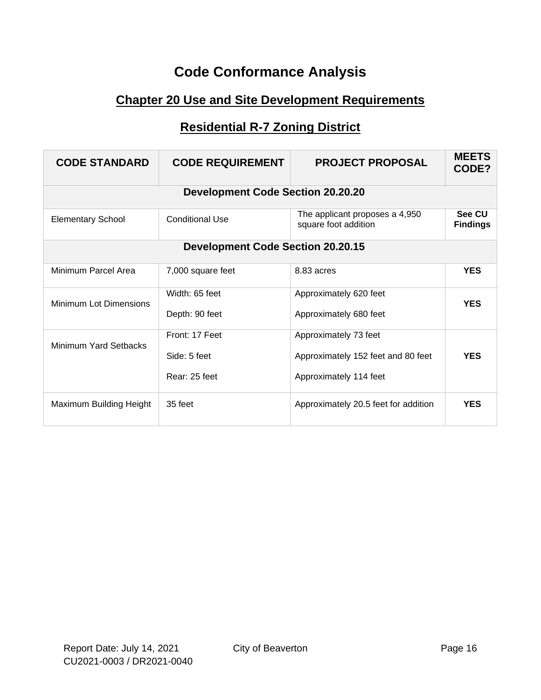## **Code Conformance Analysis**

### **Chapter 20 Use and Site Development Requirements**

### **Residential R-7 Zoning District**

| <b>CODE STANDARD</b>     | <b>CODE REQUIREMENT</b>                         | <b>PROJECT PROPOSAL</b>                                                               | <b>MEETS</b><br>CODE?     |
|--------------------------|-------------------------------------------------|---------------------------------------------------------------------------------------|---------------------------|
|                          | <b>Development Code Section 20.20.20</b>        |                                                                                       |                           |
| <b>Elementary School</b> | <b>Conditional Use</b>                          | The applicant proposes a 4,950<br>square foot addition                                | See CU<br><b>Findings</b> |
|                          | <b>Development Code Section 20.20.15</b>        |                                                                                       |                           |
| Minimum Parcel Area      | 7,000 square feet                               | 8.83 acres                                                                            | <b>YES</b>                |
| Minimum Lot Dimensions   | Width: 65 feet<br>Depth: 90 feet                | Approximately 620 feet<br>Approximately 680 feet                                      | <b>YES</b>                |
| Minimum Yard Setbacks    | Front: 17 Feet<br>Side: 5 feet<br>Rear: 25 feet | Approximately 73 feet<br>Approximately 152 feet and 80 feet<br>Approximately 114 feet | <b>YES</b>                |
| Maximum Building Height  | 35 feet                                         | Approximately 20.5 feet for addition                                                  | <b>YES</b>                |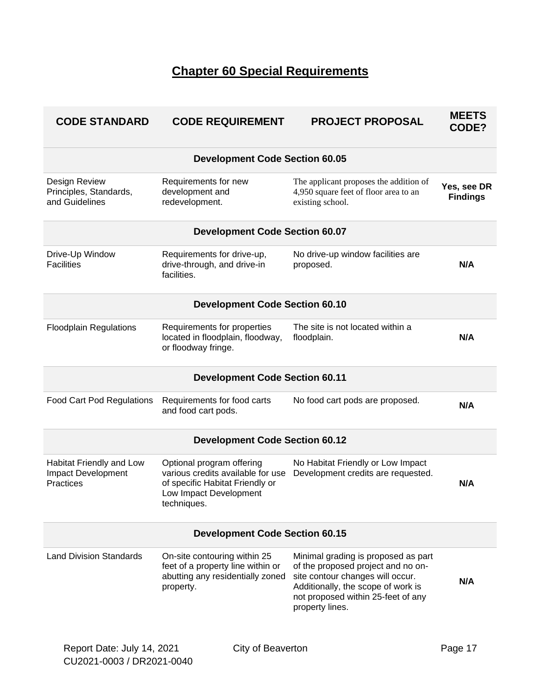### **Chapter 60 Special Requirements**

| <b>CODE STANDARD</b>                                        | <b>CODE REQUIREMENT</b>                                                                                                                    | <b>PROJECT PROPOSAL</b>                                                                                                                                                                                      | <b>MEETS</b><br>CODE?          |  |
|-------------------------------------------------------------|--------------------------------------------------------------------------------------------------------------------------------------------|--------------------------------------------------------------------------------------------------------------------------------------------------------------------------------------------------------------|--------------------------------|--|
|                                                             | <b>Development Code Section 60.05</b>                                                                                                      |                                                                                                                                                                                                              |                                |  |
| Design Review<br>Principles, Standards,<br>and Guidelines   | Requirements for new<br>development and<br>redevelopment.                                                                                  | The applicant proposes the addition of<br>4,950 square feet of floor area to an<br>existing school.                                                                                                          | Yes, see DR<br><b>Findings</b> |  |
|                                                             | <b>Development Code Section 60.07</b>                                                                                                      |                                                                                                                                                                                                              |                                |  |
| Drive-Up Window<br><b>Facilities</b>                        | Requirements for drive-up,<br>drive-through, and drive-in<br>facilities.                                                                   | No drive-up window facilities are<br>proposed.                                                                                                                                                               | N/A                            |  |
|                                                             | <b>Development Code Section 60.10</b>                                                                                                      |                                                                                                                                                                                                              |                                |  |
| <b>Floodplain Regulations</b>                               | Requirements for properties<br>located in floodplain, floodway,<br>or floodway fringe.                                                     | The site is not located within a<br>floodplain.                                                                                                                                                              | N/A                            |  |
|                                                             | <b>Development Code Section 60.11</b>                                                                                                      |                                                                                                                                                                                                              |                                |  |
| <b>Food Cart Pod Regulations</b>                            | Requirements for food carts<br>and food cart pods.                                                                                         | No food cart pods are proposed.                                                                                                                                                                              | N/A                            |  |
|                                                             | <b>Development Code Section 60.12</b>                                                                                                      |                                                                                                                                                                                                              |                                |  |
| Habitat Friendly and Low<br>Impact Development<br>Practices | Optional program offering<br>various credits available for use<br>of specific Habitat Friendly or<br>Low Impact Development<br>techniques. | No Habitat Friendly or Low Impact<br>Development credits are requested.                                                                                                                                      | N/A                            |  |
| <b>Development Code Section 60.15</b>                       |                                                                                                                                            |                                                                                                                                                                                                              |                                |  |
| <b>Land Division Standards</b>                              | On-site contouring within 25<br>feet of a property line within or<br>abutting any residentially zoned<br>property.                         | Minimal grading is proposed as part<br>of the proposed project and no on-<br>site contour changes will occur.<br>Additionally, the scope of work is<br>not proposed within 25-feet of any<br>property lines. | N/A                            |  |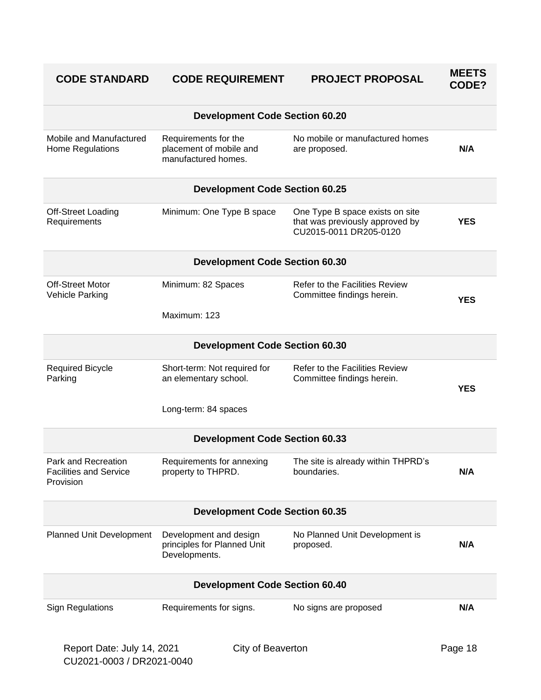| <b>CODE STANDARD</b>                                              | <b>CODE REQUIREMENT</b>                                                | <b>PROJECT PROPOSAL</b>                                                                      | <b>MEETS</b><br>CODE? |  |
|-------------------------------------------------------------------|------------------------------------------------------------------------|----------------------------------------------------------------------------------------------|-----------------------|--|
|                                                                   | <b>Development Code Section 60.20</b>                                  |                                                                                              |                       |  |
| Mobile and Manufactured<br>Home Regulations                       | Requirements for the<br>placement of mobile and<br>manufactured homes. | No mobile or manufactured homes<br>are proposed.                                             | N/A                   |  |
|                                                                   | <b>Development Code Section 60.25</b>                                  |                                                                                              |                       |  |
| <b>Off-Street Loading</b><br>Requirements                         | Minimum: One Type B space                                              | One Type B space exists on site<br>that was previously approved by<br>CU2015-0011 DR205-0120 | <b>YES</b>            |  |
|                                                                   | <b>Development Code Section 60.30</b>                                  |                                                                                              |                       |  |
| <b>Off-Street Motor</b><br>Vehicle Parking                        | Minimum: 82 Spaces                                                     | <b>Refer to the Facilities Review</b><br>Committee findings herein.                          | <b>YES</b>            |  |
|                                                                   | Maximum: 123                                                           |                                                                                              |                       |  |
|                                                                   | <b>Development Code Section 60.30</b>                                  |                                                                                              |                       |  |
| <b>Required Bicycle</b><br>Parking                                | Short-term: Not required for<br>an elementary school.                  | <b>Refer to the Facilities Review</b><br>Committee findings herein.                          | <b>YES</b>            |  |
|                                                                   | Long-term: 84 spaces                                                   |                                                                                              |                       |  |
| <b>Development Code Section 60.33</b>                             |                                                                        |                                                                                              |                       |  |
| Park and Recreation<br><b>Facilities and Service</b><br>Provision | Requirements for annexing<br>property to THPRD.                        | The site is already within THPRD's<br>boundaries.                                            | N/A                   |  |
| <b>Development Code Section 60.35</b>                             |                                                                        |                                                                                              |                       |  |
| Planned Unit Development                                          | Development and design<br>principles for Planned Unit<br>Developments. | No Planned Unit Development is<br>proposed.                                                  | N/A                   |  |
|                                                                   | <b>Development Code Section 60.40</b>                                  |                                                                                              |                       |  |
| <b>Sign Regulations</b>                                           | Requirements for signs.                                                | No signs are proposed                                                                        | N/A                   |  |
| Report Date: July 14, 2021                                        | City of Beaverton                                                      |                                                                                              | Page 18               |  |

CU2021-0003 / DR2021-0040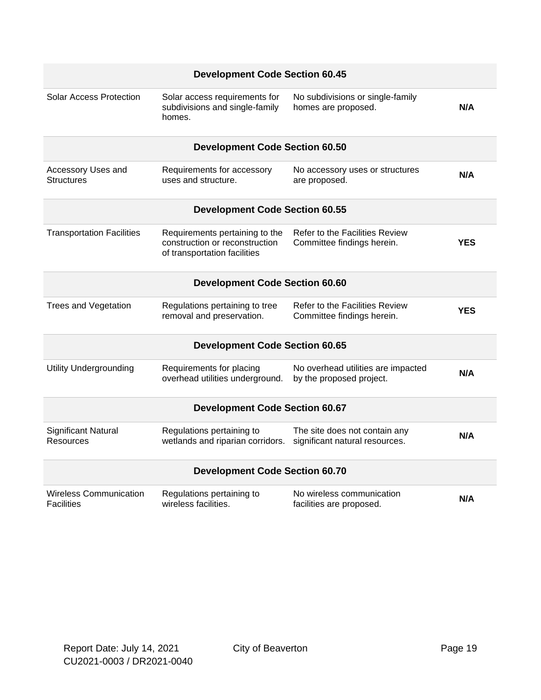|                                                    | <b>Development Code Section 60.45</b>                                                            |                                                                 |            |
|----------------------------------------------------|--------------------------------------------------------------------------------------------------|-----------------------------------------------------------------|------------|
| Solar Access Protection                            | Solar access requirements for<br>subdivisions and single-family<br>homes.                        | No subdivisions or single-family<br>homes are proposed.         | N/A        |
|                                                    | <b>Development Code Section 60.50</b>                                                            |                                                                 |            |
| Accessory Uses and<br>Structures                   | Requirements for accessory<br>uses and structure.                                                | No accessory uses or structures<br>are proposed.                | N/A        |
|                                                    | <b>Development Code Section 60.55</b>                                                            |                                                                 |            |
| <b>Transportation Facilities</b>                   | Requirements pertaining to the<br>construction or reconstruction<br>of transportation facilities | Refer to the Facilities Review<br>Committee findings herein.    | <b>YES</b> |
|                                                    | <b>Development Code Section 60.60</b>                                                            |                                                                 |            |
| <b>Trees and Vegetation</b>                        | Regulations pertaining to tree<br>removal and preservation.                                      | Refer to the Facilities Review<br>Committee findings herein.    | <b>YES</b> |
|                                                    | <b>Development Code Section 60.65</b>                                                            |                                                                 |            |
| <b>Utility Undergrounding</b>                      | Requirements for placing<br>overhead utilities underground.                                      | No overhead utilities are impacted<br>by the proposed project.  | N/A        |
|                                                    | <b>Development Code Section 60.67</b>                                                            |                                                                 |            |
| <b>Significant Natural</b><br><b>Resources</b>     | Regulations pertaining to<br>wetlands and riparian corridors.                                    | The site does not contain any<br>significant natural resources. | N/A        |
| <b>Development Code Section 60.70</b>              |                                                                                                  |                                                                 |            |
| <b>Wireless Communication</b><br><b>Facilities</b> | Regulations pertaining to<br>wireless facilities.                                                | No wireless communication<br>facilities are proposed.           | N/A        |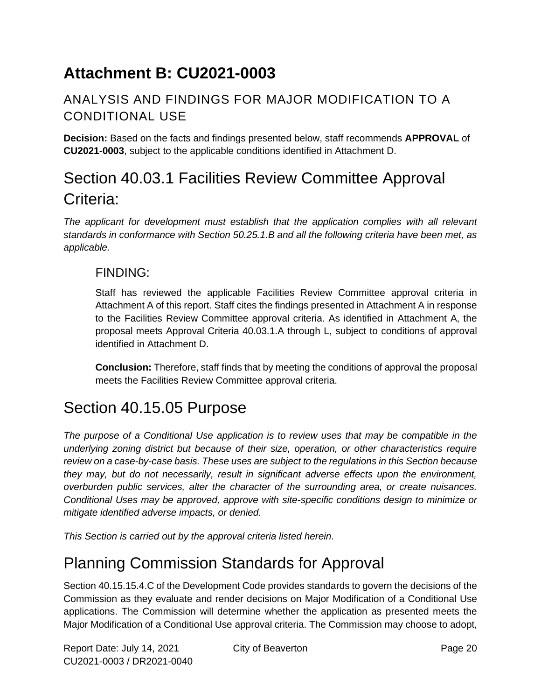# **Attachment B: CU2021-0003**

### ANALYSIS AND FINDINGS FOR MAJOR MODIFICATION TO A CONDITIONAL USE

**Decision:** Based on the facts and findings presented below, staff recommends **APPROVAL** of **CU2021-0003**, subject to the applicable conditions identified in Attachment D.

# Section 40.03.1 Facilities Review Committee Approval Criteria:

*The applicant for development must establish that the application complies with all relevant standards in conformance with Section 50.25.1.B and all the following criteria have been met, as applicable.*

### FINDING:

Staff has reviewed the applicable Facilities Review Committee approval criteria in Attachment A of this report. Staff cites the findings presented in Attachment A in response to the Facilities Review Committee approval criteria. As identified in Attachment A, the proposal meets Approval Criteria 40.03.1.A through L, subject to conditions of approval identified in Attachment D.

**Conclusion:** Therefore, staff finds that by meeting the conditions of approval the proposal meets the Facilities Review Committee approval criteria.

## Section 40.15.05 Purpose

*The purpose of a Conditional Use application is to review uses that may be compatible in the underlying zoning district but because of their size, operation, or other characteristics require review on a case-by-case basis. These uses are subject to the regulations in this Section because they may, but do not necessarily, result in significant adverse effects upon the environment, overburden public services, alter the character of the surrounding area, or create nuisances. Conditional Uses may be approved, approve with site-specific conditions design to minimize or mitigate identified adverse impacts, or denied.* 

*This Section is carried out by the approval criteria listed herein.*

# Planning Commission Standards for Approval

Section 40.15.15.4.C of the Development Code provides standards to govern the decisions of the Commission as they evaluate and render decisions on Major Modification of a Conditional Use applications. The Commission will determine whether the application as presented meets the Major Modification of a Conditional Use approval criteria. The Commission may choose to adopt,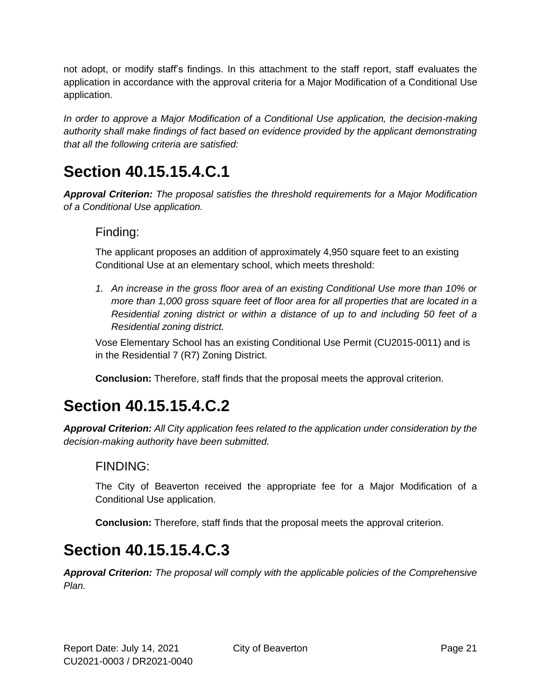not adopt, or modify staff's findings. In this attachment to the staff report, staff evaluates the application in accordance with the approval criteria for a Major Modification of a Conditional Use application.

*In order to approve a Major Modification of a Conditional Use application, the decision-making authority shall make findings of fact based on evidence provided by the applicant demonstrating that all the following criteria are satisfied:*

# **Section 40.15.15.4.C.1**

*Approval Criterion: The proposal satisfies the threshold requirements for a Major Modification of a Conditional Use application.*

#### Finding:

The applicant proposes an addition of approximately 4,950 square feet to an existing Conditional Use at an elementary school, which meets threshold:

*1. An increase in the gross floor area of an existing Conditional Use more than 10% or more than 1,000 gross square feet of floor area for all properties that are located in a Residential zoning district or within a distance of up to and including 50 feet of a Residential zoning district.*

Vose Elementary School has an existing Conditional Use Permit (CU2015-0011) and is in the Residential 7 (R7) Zoning District.

**Conclusion:** Therefore, staff finds that the proposal meets the approval criterion.

# **Section 40.15.15.4.C.2**

*Approval Criterion: All City application fees related to the application under consideration by the decision-making authority have been submitted.*

### FINDING:

The City of Beaverton received the appropriate fee for a Major Modification of a Conditional Use application.

**Conclusion:** Therefore, staff finds that the proposal meets the approval criterion.

## **Section 40.15.15.4.C.3**

*Approval Criterion: The proposal will comply with the applicable policies of the Comprehensive Plan.*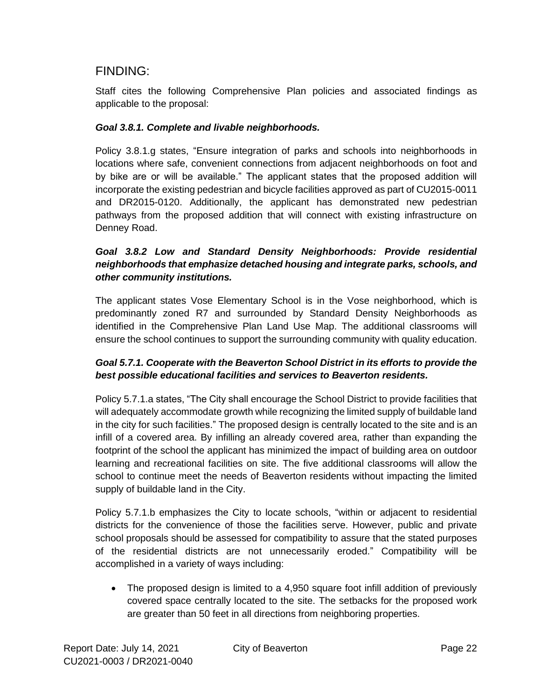#### FINDING:

Staff cites the following Comprehensive Plan policies and associated findings as applicable to the proposal:

#### *Goal 3.8.1. Complete and livable neighborhoods.*

Policy 3.8.1.g states, "Ensure integration of parks and schools into neighborhoods in locations where safe, convenient connections from adjacent neighborhoods on foot and by bike are or will be available." The applicant states that the proposed addition will incorporate the existing pedestrian and bicycle facilities approved as part of CU2015-0011 and DR2015-0120. Additionally, the applicant has demonstrated new pedestrian pathways from the proposed addition that will connect with existing infrastructure on Denney Road.

#### *Goal 3.8.2 Low and Standard Density Neighborhoods: Provide residential neighborhoods that emphasize detached housing and integrate parks, schools, and other community institutions.*

The applicant states Vose Elementary School is in the Vose neighborhood, which is predominantly zoned R7 and surrounded by Standard Density Neighborhoods as identified in the Comprehensive Plan Land Use Map. The additional classrooms will ensure the school continues to support the surrounding community with quality education.

#### *Goal 5.7.1. Cooperate with the Beaverton School District in its efforts to provide the best possible educational facilities and services to Beaverton residents.*

Policy 5.7.1.a states, "The City shall encourage the School District to provide facilities that will adequately accommodate growth while recognizing the limited supply of buildable land in the city for such facilities." The proposed design is centrally located to the site and is an infill of a covered area. By infilling an already covered area, rather than expanding the footprint of the school the applicant has minimized the impact of building area on outdoor learning and recreational facilities on site. The five additional classrooms will allow the school to continue meet the needs of Beaverton residents without impacting the limited supply of buildable land in the City.

Policy 5.7.1.b emphasizes the City to locate schools, "within or adjacent to residential districts for the convenience of those the facilities serve. However, public and private school proposals should be assessed for compatibility to assure that the stated purposes of the residential districts are not unnecessarily eroded." Compatibility will be accomplished in a variety of ways including:

• The proposed design is limited to a 4,950 square foot infill addition of previously covered space centrally located to the site. The setbacks for the proposed work are greater than 50 feet in all directions from neighboring properties.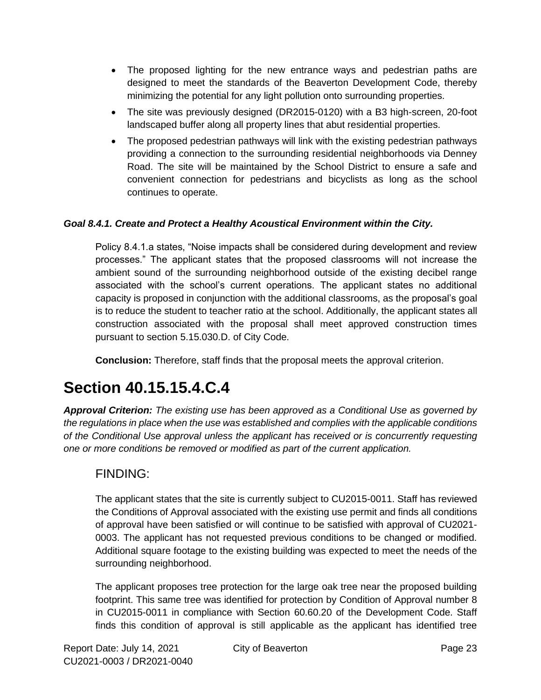- The proposed lighting for the new entrance ways and pedestrian paths are designed to meet the standards of the Beaverton Development Code, thereby minimizing the potential for any light pollution onto surrounding properties.
- The site was previously designed (DR2015-0120) with a B3 high-screen, 20-foot landscaped buffer along all property lines that abut residential properties.
- The proposed pedestrian pathways will link with the existing pedestrian pathways providing a connection to the surrounding residential neighborhoods via Denney Road. The site will be maintained by the School District to ensure a safe and convenient connection for pedestrians and bicyclists as long as the school continues to operate.

#### *Goal 8.4.1. Create and Protect a Healthy Acoustical Environment within the City.*

Policy 8.4.1.a states, "Noise impacts shall be considered during development and review processes." The applicant states that the proposed classrooms will not increase the ambient sound of the surrounding neighborhood outside of the existing decibel range associated with the school's current operations. The applicant states no additional capacity is proposed in conjunction with the additional classrooms, as the proposal's goal is to reduce the student to teacher ratio at the school. Additionally, the applicant states all construction associated with the proposal shall meet approved construction times pursuant to section 5.15.030.D. of City Code.

**Conclusion:** Therefore, staff finds that the proposal meets the approval criterion.

## **Section 40.15.15.4.C.4**

*Approval Criterion: The existing use has been approved as a Conditional Use as governed by the regulations in place when the use was established and complies with the applicable conditions of the Conditional Use approval unless the applicant has received or is concurrently requesting one or more conditions be removed or modified as part of the current application.*

### FINDING:

The applicant states that the site is currently subject to CU2015-0011. Staff has reviewed the Conditions of Approval associated with the existing use permit and finds all conditions of approval have been satisfied or will continue to be satisfied with approval of CU2021- 0003. The applicant has not requested previous conditions to be changed or modified. Additional square footage to the existing building was expected to meet the needs of the surrounding neighborhood.

The applicant proposes tree protection for the large oak tree near the proposed building footprint. This same tree was identified for protection by Condition of Approval number 8 in CU2015-0011 in compliance with Section 60.60.20 of the Development Code. Staff finds this condition of approval is still applicable as the applicant has identified tree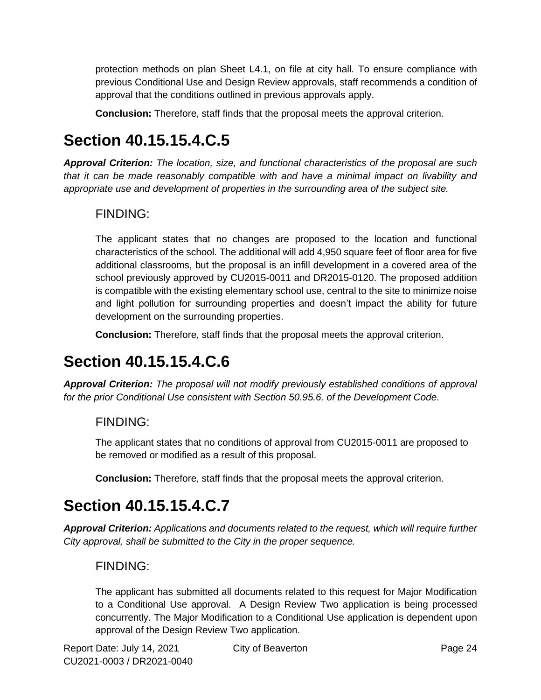protection methods on plan Sheet L4.1, on file at city hall. To ensure compliance with previous Conditional Use and Design Review approvals, staff recommends a condition of approval that the conditions outlined in previous approvals apply.

**Conclusion:** Therefore, staff finds that the proposal meets the approval criterion.

# **Section 40.15.15.4.C.5**

*Approval Criterion: The location, size, and functional characteristics of the proposal are such that it can be made reasonably compatible with and have a minimal impact on livability and appropriate use and development of properties in the surrounding area of the subject site.*

### FINDING:

The applicant states that no changes are proposed to the location and functional characteristics of the school. The additional will add 4,950 square feet of floor area for five additional classrooms, but the proposal is an infill development in a covered area of the school previously approved by CU2015-0011 and DR2015-0120. The proposed addition is compatible with the existing elementary school use, central to the site to minimize noise and light pollution for surrounding properties and doesn't impact the ability for future development on the surrounding properties.

**Conclusion:** Therefore, staff finds that the proposal meets the approval criterion.

## **Section 40.15.15.4.C.6**

*Approval Criterion: The proposal will not modify previously established conditions of approval for the prior Conditional Use consistent with Section 50.95.6. of the Development Code.*

### FINDING:

The applicant states that no conditions of approval from CU2015-0011 are proposed to be removed or modified as a result of this proposal.

**Conclusion:** Therefore, staff finds that the proposal meets the approval criterion.

# **Section 40.15.15.4.C.7**

*Approval Criterion: Applications and documents related to the request, which will require further City approval, shall be submitted to the City in the proper sequence.*

### FINDING:

The applicant has submitted all documents related to this request for Major Modification to a Conditional Use approval. A Design Review Two application is being processed concurrently. The Major Modification to a Conditional Use application is dependent upon approval of the Design Review Two application.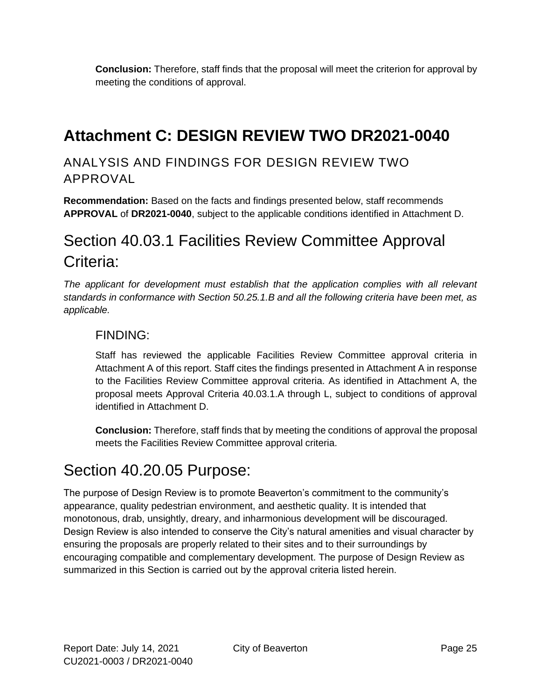**Conclusion:** Therefore, staff finds that the proposal will meet the criterion for approval by meeting the conditions of approval.

# **Attachment C: DESIGN REVIEW TWO DR2021-0040**

### ANALYSIS AND FINDINGS FOR DESIGN REVIEW TWO APPROVAL

**Recommendation:** Based on the facts and findings presented below, staff recommends **APPROVAL** of **DR2021-0040**, subject to the applicable conditions identified in Attachment D.

## Section 40.03.1 Facilities Review Committee Approval Criteria:

*The applicant for development must establish that the application complies with all relevant standards in conformance with Section 50.25.1.B and all the following criteria have been met, as applicable.*

### FINDING:

Staff has reviewed the applicable Facilities Review Committee approval criteria in Attachment A of this report. Staff cites the findings presented in Attachment A in response to the Facilities Review Committee approval criteria. As identified in Attachment A, the proposal meets Approval Criteria 40.03.1.A through L, subject to conditions of approval identified in Attachment D.

**Conclusion:** Therefore, staff finds that by meeting the conditions of approval the proposal meets the Facilities Review Committee approval criteria.

## Section 40.20.05 Purpose:

The purpose of Design Review is to promote Beaverton's commitment to the community's appearance, quality pedestrian environment, and aesthetic quality. It is intended that monotonous, drab, unsightly, dreary, and inharmonious development will be discouraged. Design Review is also intended to conserve the City's natural amenities and visual character by ensuring the proposals are properly related to their sites and to their surroundings by encouraging compatible and complementary development. The purpose of Design Review as summarized in this Section is carried out by the approval criteria listed herein.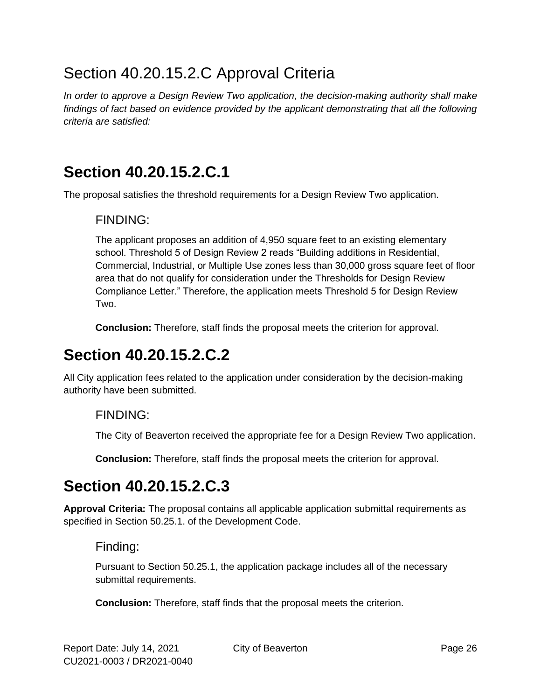# Section 40.20.15.2.C Approval Criteria

*In order to approve a Design Review Two application, the decision-making authority shall make findings of fact based on evidence provided by the applicant demonstrating that all the following criteria are satisfied:*

## **Section 40.20.15.2.C.1**

The proposal satisfies the threshold requirements for a Design Review Two application.

### FINDING:

The applicant proposes an addition of 4,950 square feet to an existing elementary school. Threshold 5 of Design Review 2 reads "Building additions in Residential, Commercial, Industrial, or Multiple Use zones less than 30,000 gross square feet of floor area that do not qualify for consideration under the Thresholds for Design Review Compliance Letter." Therefore, the application meets Threshold 5 for Design Review Two.

**Conclusion:** Therefore, staff finds the proposal meets the criterion for approval.

# **Section 40.20.15.2.C.2**

All City application fees related to the application under consideration by the decision-making authority have been submitted.

### FINDING:

The City of Beaverton received the appropriate fee for a Design Review Two application.

**Conclusion:** Therefore, staff finds the proposal meets the criterion for approval.

# **Section 40.20.15.2.C.3**

**Approval Criteria:** The proposal contains all applicable application submittal requirements as specified in Section 50.25.1. of the Development Code.

### Finding:

Pursuant to Section 50.25.1, the application package includes all of the necessary submittal requirements.

**Conclusion:** Therefore, staff finds that the proposal meets the criterion.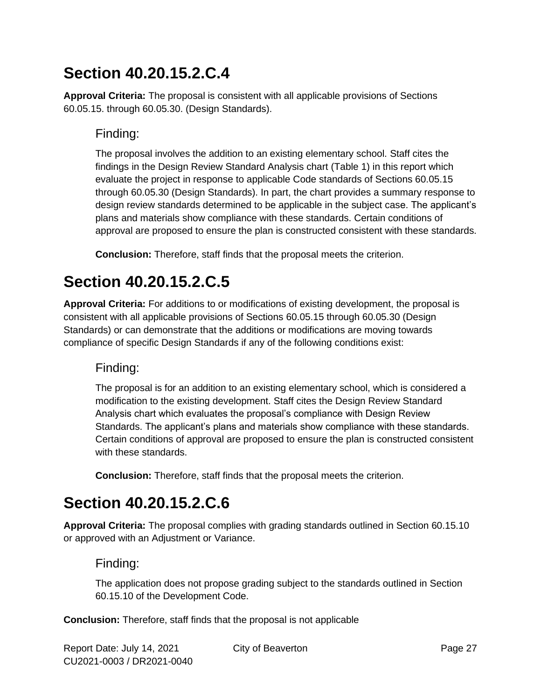# **Section 40.20.15.2.C.4**

**Approval Criteria:** The proposal is consistent with all applicable provisions of Sections 60.05.15. through 60.05.30. (Design Standards).

### Finding:

The proposal involves the addition to an existing elementary school. Staff cites the findings in the Design Review Standard Analysis chart (Table 1) in this report which evaluate the project in response to applicable Code standards of Sections 60.05.15 through 60.05.30 (Design Standards). In part, the chart provides a summary response to design review standards determined to be applicable in the subject case. The applicant's plans and materials show compliance with these standards. Certain conditions of approval are proposed to ensure the plan is constructed consistent with these standards.

**Conclusion:** Therefore, staff finds that the proposal meets the criterion.

# **Section 40.20.15.2.C.5**

**Approval Criteria:** For additions to or modifications of existing development, the proposal is consistent with all applicable provisions of Sections 60.05.15 through 60.05.30 (Design Standards) or can demonstrate that the additions or modifications are moving towards compliance of specific Design Standards if any of the following conditions exist:

### Finding:

The proposal is for an addition to an existing elementary school, which is considered a modification to the existing development. Staff cites the Design Review Standard Analysis chart which evaluates the proposal's compliance with Design Review Standards. The applicant's plans and materials show compliance with these standards. Certain conditions of approval are proposed to ensure the plan is constructed consistent with these standards.

**Conclusion:** Therefore, staff finds that the proposal meets the criterion.

# **Section 40.20.15.2.C.6**

**Approval Criteria:** The proposal complies with grading standards outlined in Section 60.15.10 or approved with an Adjustment or Variance.

### Finding:

The application does not propose grading subject to the standards outlined in Section 60.15.10 of the Development Code.

**Conclusion:** Therefore, staff finds that the proposal is not applicable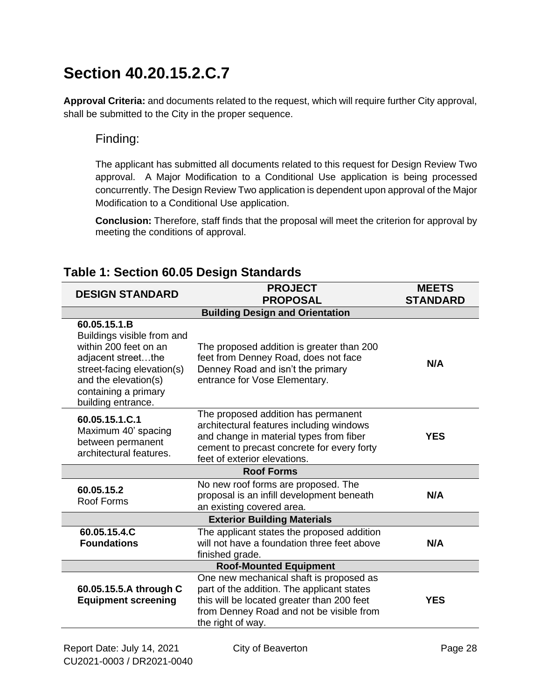# **Section 40.20.15.2.C.7**

**Approval Criteria:** and documents related to the request, which will require further City approval, shall be submitted to the City in the proper sequence.

#### Finding:

The applicant has submitted all documents related to this request for Design Review Two approval. A Major Modification to a Conditional Use application is being processed concurrently. The Design Review Two application is dependent upon approval of the Major Modification to a Conditional Use application.

**Conclusion:** Therefore, staff finds that the proposal will meet the criterion for approval by meeting the conditions of approval.

| <b>PROJECT</b><br><b>DESIGN STANDARD</b><br><b>PROPOSAL</b>                                                                                                                                   |                                                                                                                                                                                                          | <b>MEETS</b><br><b>STANDARD</b> |  |
|-----------------------------------------------------------------------------------------------------------------------------------------------------------------------------------------------|----------------------------------------------------------------------------------------------------------------------------------------------------------------------------------------------------------|---------------------------------|--|
|                                                                                                                                                                                               | <b>Building Design and Orientation</b>                                                                                                                                                                   |                                 |  |
| 60.05.15.1.B<br>Buildings visible from and<br>within 200 feet on an<br>adjacent streetthe<br>street-facing elevation(s)<br>and the elevation(s)<br>containing a primary<br>building entrance. | The proposed addition is greater than 200<br>feet from Denney Road, does not face<br>Denney Road and isn't the primary<br>entrance for Vose Elementary.                                                  | N/A                             |  |
| 60.05.15.1.C.1<br>Maximum 40' spacing<br>between permanent<br>architectural features.                                                                                                         | The proposed addition has permanent<br>architectural features including windows<br>and change in material types from fiber<br>cement to precast concrete for every forty<br>feet of exterior elevations. | <b>YES</b>                      |  |
| <b>Roof Forms</b>                                                                                                                                                                             |                                                                                                                                                                                                          |                                 |  |
| 60.05.15.2<br>Roof Forms                                                                                                                                                                      | No new roof forms are proposed. The<br>proposal is an infill development beneath<br>an existing covered area.                                                                                            | N/A                             |  |
|                                                                                                                                                                                               | <b>Exterior Building Materials</b>                                                                                                                                                                       |                                 |  |
| 60.05.15.4.C<br><b>Foundations</b>                                                                                                                                                            | The applicant states the proposed addition<br>will not have a foundation three feet above<br>finished grade.                                                                                             | N/A                             |  |
| <b>Roof-Mounted Equipment</b>                                                                                                                                                                 |                                                                                                                                                                                                          |                                 |  |
| 60.05.15.5.A through C<br><b>Equipment screening</b>                                                                                                                                          | One new mechanical shaft is proposed as<br>part of the addition. The applicant states<br>this will be located greater than 200 feet<br>from Denney Road and not be visible from<br>the right of way.     | <b>YES</b>                      |  |

### **Table 1: Section 60.05 Design Standards**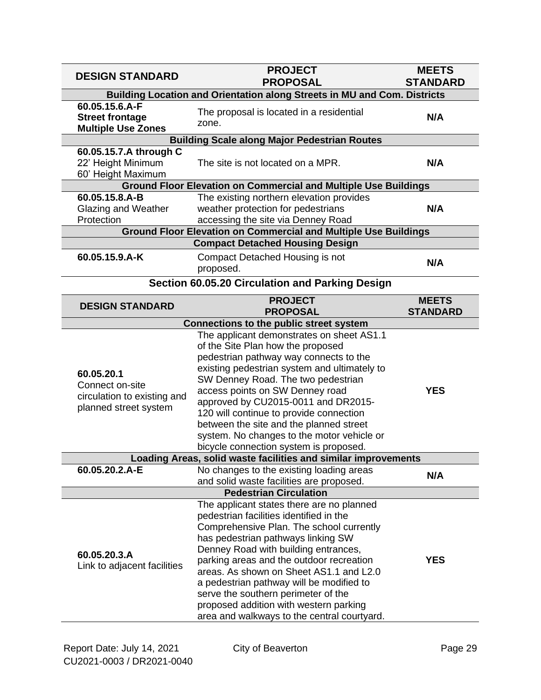| <b>DESIGN STANDARD</b>                                                                | <b>PROJECT</b><br><b>PROPOSAL</b>                                                                                                                                                                                                                                                                                                                                                                                                                                                 | <b>MEETS</b><br><b>STANDARD</b> |  |  |
|---------------------------------------------------------------------------------------|-----------------------------------------------------------------------------------------------------------------------------------------------------------------------------------------------------------------------------------------------------------------------------------------------------------------------------------------------------------------------------------------------------------------------------------------------------------------------------------|---------------------------------|--|--|
| Building Location and Orientation along Streets in MU and Com. Districts              |                                                                                                                                                                                                                                                                                                                                                                                                                                                                                   |                                 |  |  |
| 60.05.15.6.A-F<br><b>Street frontage</b><br><b>Multiple Use Zones</b>                 | The proposal is located in a residential<br>zone.                                                                                                                                                                                                                                                                                                                                                                                                                                 | N/A                             |  |  |
|                                                                                       | <b>Building Scale along Major Pedestrian Routes</b>                                                                                                                                                                                                                                                                                                                                                                                                                               |                                 |  |  |
| 60.05.15.7.A through C<br>22' Height Minimum<br>60' Height Maximum                    | The site is not located on a MPR.                                                                                                                                                                                                                                                                                                                                                                                                                                                 | N/A                             |  |  |
|                                                                                       | <b>Ground Floor Elevation on Commercial and Multiple Use Buildings</b>                                                                                                                                                                                                                                                                                                                                                                                                            |                                 |  |  |
| 60.05.15.8.A-B<br>Glazing and Weather<br>Protection                                   | The existing northern elevation provides<br>weather protection for pedestrians<br>accessing the site via Denney Road                                                                                                                                                                                                                                                                                                                                                              | N/A                             |  |  |
|                                                                                       | <b>Ground Floor Elevation on Commercial and Multiple Use Buildings</b>                                                                                                                                                                                                                                                                                                                                                                                                            |                                 |  |  |
|                                                                                       | <b>Compact Detached Housing Design</b>                                                                                                                                                                                                                                                                                                                                                                                                                                            |                                 |  |  |
| 60.05.15.9.A-K                                                                        | Compact Detached Housing is not<br>proposed.                                                                                                                                                                                                                                                                                                                                                                                                                                      | N/A                             |  |  |
|                                                                                       | Section 60.05.20 Circulation and Parking Design                                                                                                                                                                                                                                                                                                                                                                                                                                   |                                 |  |  |
| <b>DESIGN STANDARD</b>                                                                | <b>PROJECT</b>                                                                                                                                                                                                                                                                                                                                                                                                                                                                    | <b>MEETS</b>                    |  |  |
|                                                                                       | <b>PROPOSAL</b>                                                                                                                                                                                                                                                                                                                                                                                                                                                                   | <b>STANDARD</b>                 |  |  |
|                                                                                       | <b>Connections to the public street system</b><br>The applicant demonstrates on sheet AS1.1                                                                                                                                                                                                                                                                                                                                                                                       |                                 |  |  |
| 60.05.20.1<br>Connect on-site<br>circulation to existing and<br>planned street system | of the Site Plan how the proposed<br>pedestrian pathway way connects to the<br>existing pedestrian system and ultimately to<br>SW Denney Road. The two pedestrian<br>access points on SW Denney road<br>approved by CU2015-0011 and DR2015-<br>120 will continue to provide connection<br>between the site and the planned street<br>system. No changes to the motor vehicle or<br>bicycle connection system is proposed.                                                         | <b>YES</b>                      |  |  |
|                                                                                       | Loading Areas, solid waste facilities and similar improvements                                                                                                                                                                                                                                                                                                                                                                                                                    |                                 |  |  |
| 60.05.20.2.A-E                                                                        | No changes to the existing loading areas<br>and solid waste facilities are proposed.                                                                                                                                                                                                                                                                                                                                                                                              | N/A                             |  |  |
| <b>Pedestrian Circulation</b>                                                         |                                                                                                                                                                                                                                                                                                                                                                                                                                                                                   |                                 |  |  |
| 60.05.20.3.A<br>Link to adjacent facilities                                           | The applicant states there are no planned<br>pedestrian facilities identified in the<br>Comprehensive Plan. The school currently<br>has pedestrian pathways linking SW<br>Denney Road with building entrances,<br>parking areas and the outdoor recreation<br>areas. As shown on Sheet AS1.1 and L2.0<br>a pedestrian pathway will be modified to<br>serve the southern perimeter of the<br>proposed addition with western parking<br>area and walkways to the central courtyard. | <b>YES</b>                      |  |  |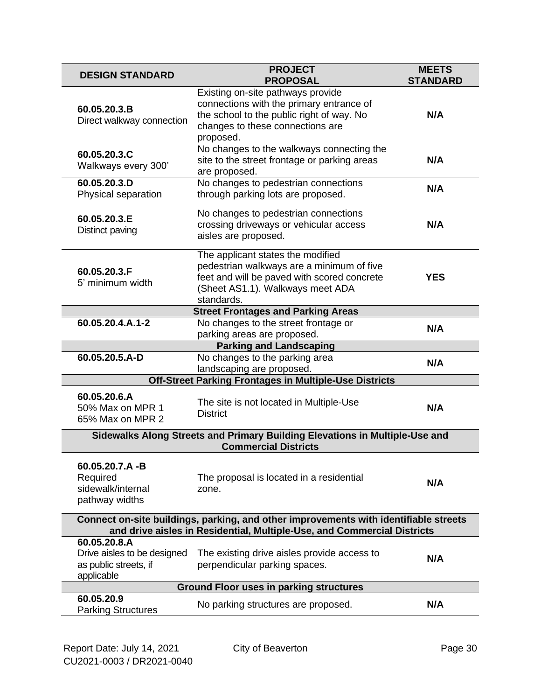| <b>DESIGN STANDARD</b>                                                                                                                                          | <b>PROJECT</b><br><b>PROPOSAL</b>                                                                                                                                               | <b>MEETS</b><br><b>STANDARD</b> |  |  |
|-----------------------------------------------------------------------------------------------------------------------------------------------------------------|---------------------------------------------------------------------------------------------------------------------------------------------------------------------------------|---------------------------------|--|--|
| 60.05.20.3.B<br>Direct walkway connection                                                                                                                       | Existing on-site pathways provide<br>connections with the primary entrance of<br>the school to the public right of way. No<br>changes to these connections are<br>proposed.     | N/A                             |  |  |
| 60.05.20.3.C<br>Walkways every 300'                                                                                                                             | No changes to the walkways connecting the<br>site to the street frontage or parking areas<br>are proposed.                                                                      | N/A                             |  |  |
| 60.05.20.3.D<br>Physical separation                                                                                                                             | No changes to pedestrian connections<br>through parking lots are proposed.                                                                                                      | N/A                             |  |  |
| 60.05.20.3.E<br>Distinct paving                                                                                                                                 | No changes to pedestrian connections<br>crossing driveways or vehicular access<br>aisles are proposed.                                                                          | N/A                             |  |  |
| 60.05.20.3.F<br>5' minimum width                                                                                                                                | The applicant states the modified<br>pedestrian walkways are a minimum of five<br>feet and will be paved with scored concrete<br>(Sheet AS1.1). Walkways meet ADA<br>standards. | <b>YES</b>                      |  |  |
|                                                                                                                                                                 | <b>Street Frontages and Parking Areas</b>                                                                                                                                       |                                 |  |  |
| 60.05.20.4.A.1-2                                                                                                                                                | No changes to the street frontage or<br>parking areas are proposed.                                                                                                             | N/A                             |  |  |
|                                                                                                                                                                 | <b>Parking and Landscaping</b>                                                                                                                                                  |                                 |  |  |
| 60.05.20.5.A-D                                                                                                                                                  | No changes to the parking area<br>landscaping are proposed.                                                                                                                     | N/A                             |  |  |
|                                                                                                                                                                 | Off-Street Parking Frontages in Multiple-Use Districts                                                                                                                          |                                 |  |  |
| 60.05.20.6.A<br>50% Max on MPR 1<br>65% Max on MPR 2                                                                                                            | The site is not located in Multiple-Use<br><b>District</b>                                                                                                                      | N/A                             |  |  |
| Sidewalks Along Streets and Primary Building Elevations in Multiple-Use and<br><b>Commercial Districts</b>                                                      |                                                                                                                                                                                 |                                 |  |  |
| 60.05.20.7.A-B<br>Required<br>sidewalk/internal<br>pathway widths                                                                                               | The proposal is located in a residential<br>zone.                                                                                                                               | N/A                             |  |  |
| Connect on-site buildings, parking, and other improvements with identifiable streets<br>and drive aisles in Residential, Multiple-Use, and Commercial Districts |                                                                                                                                                                                 |                                 |  |  |
| 60.05.20.8.A<br>Drive aisles to be designed<br>as public streets, if<br>applicable                                                                              | The existing drive aisles provide access to<br>perpendicular parking spaces.                                                                                                    | N/A                             |  |  |
| <b>Ground Floor uses in parking structures</b>                                                                                                                  |                                                                                                                                                                                 |                                 |  |  |
| 60.05.20.9<br><b>Parking Structures</b>                                                                                                                         | No parking structures are proposed.                                                                                                                                             | N/A                             |  |  |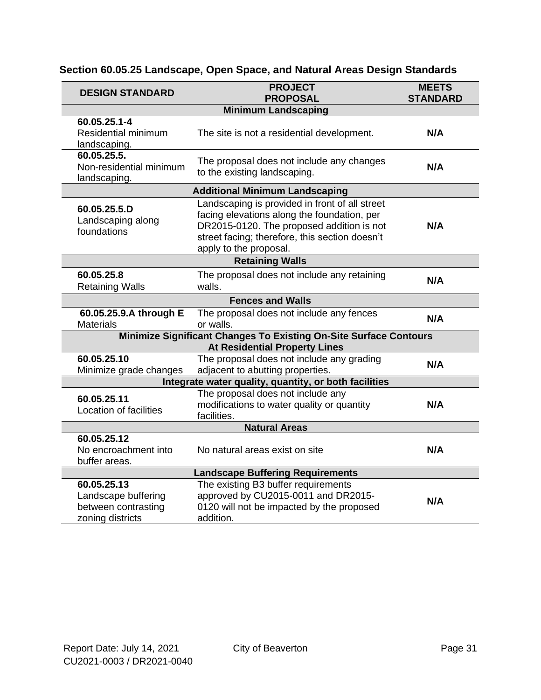| Section 60.05.25 Landscape, Open Space, and Natural Areas Design Standards |  |  |  |
|----------------------------------------------------------------------------|--|--|--|
|                                                                            |  |  |  |

| <b>DESIGN STANDARD</b>                                                        | <b>PROJECT</b><br><b>PROPOSAL</b>                                                                                                                                                                                      | <b>MEETS</b><br><b>STANDARD</b> |  |  |  |
|-------------------------------------------------------------------------------|------------------------------------------------------------------------------------------------------------------------------------------------------------------------------------------------------------------------|---------------------------------|--|--|--|
|                                                                               | <b>Minimum Landscaping</b>                                                                                                                                                                                             |                                 |  |  |  |
| 60.05.25.1-4                                                                  |                                                                                                                                                                                                                        |                                 |  |  |  |
| Residential minimum<br>landscaping.                                           | The site is not a residential development.                                                                                                                                                                             | N/A                             |  |  |  |
| 60.05.25.5.<br>Non-residential minimum<br>landscaping.                        | The proposal does not include any changes<br>to the existing landscaping.                                                                                                                                              | N/A                             |  |  |  |
|                                                                               | <b>Additional Minimum Landscaping</b>                                                                                                                                                                                  |                                 |  |  |  |
| 60.05.25.5.D<br>Landscaping along<br>foundations                              | Landscaping is provided in front of all street<br>facing elevations along the foundation, per<br>DR2015-0120. The proposed addition is not<br>street facing; therefore, this section doesn't<br>apply to the proposal. | N/A                             |  |  |  |
|                                                                               | <b>Retaining Walls</b>                                                                                                                                                                                                 |                                 |  |  |  |
| 60.05.25.8<br><b>Retaining Walls</b>                                          | The proposal does not include any retaining<br>walls.                                                                                                                                                                  | N/A                             |  |  |  |
|                                                                               | <b>Fences and Walls</b>                                                                                                                                                                                                |                                 |  |  |  |
| 60.05.25.9.A through E<br><b>Materials</b>                                    | The proposal does not include any fences<br>or walls.                                                                                                                                                                  | N/A                             |  |  |  |
|                                                                               | Minimize Significant Changes To Existing On-Site Surface Contours                                                                                                                                                      |                                 |  |  |  |
|                                                                               | <b>At Residential Property Lines</b>                                                                                                                                                                                   |                                 |  |  |  |
| 60.05.25.10<br>Minimize grade changes                                         | The proposal does not include any grading<br>adjacent to abutting properties.                                                                                                                                          | N/A                             |  |  |  |
|                                                                               | Integrate water quality, quantity, or both facilities                                                                                                                                                                  |                                 |  |  |  |
| 60.05.25.11<br><b>Location of facilities</b>                                  | The proposal does not include any<br>modifications to water quality or quantity<br>facilities.                                                                                                                         | N/A                             |  |  |  |
| <b>Natural Areas</b>                                                          |                                                                                                                                                                                                                        |                                 |  |  |  |
| 60.05.25.12<br>No encroachment into<br>buffer areas.                          | No natural areas exist on site                                                                                                                                                                                         | N/A                             |  |  |  |
| <b>Landscape Buffering Requirements</b>                                       |                                                                                                                                                                                                                        |                                 |  |  |  |
| 60.05.25.13<br>Landscape buffering<br>between contrasting<br>zoning districts | The existing B3 buffer requirements<br>approved by CU2015-0011 and DR2015-<br>0120 will not be impacted by the proposed<br>addition.                                                                                   | N/A                             |  |  |  |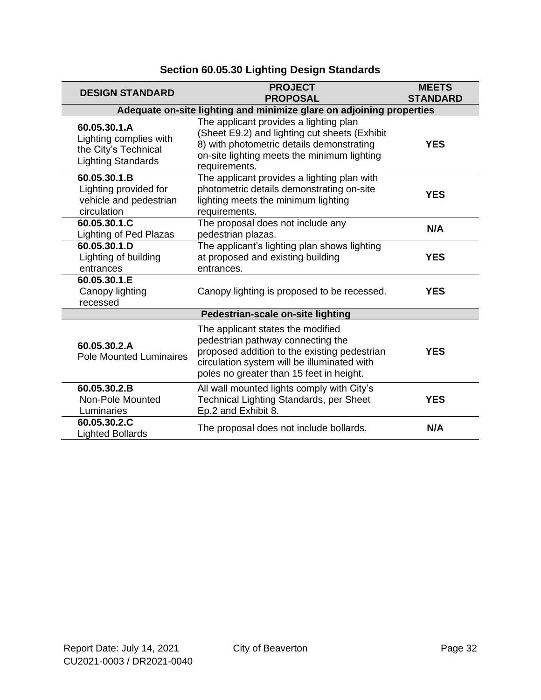| <b>DESIGN STANDARD</b>                                                                      | <b>PROJECT</b><br><b>PROPOSAL</b>                                                                                                                                                                                 | <b>MEETS</b><br><b>STANDARD</b> |  |  |
|---------------------------------------------------------------------------------------------|-------------------------------------------------------------------------------------------------------------------------------------------------------------------------------------------------------------------|---------------------------------|--|--|
| Adequate on-site lighting and minimize glare on adjoining properties                        |                                                                                                                                                                                                                   |                                 |  |  |
| 60.05.30.1.A<br>Lighting complies with<br>the City's Technical<br><b>Lighting Standards</b> | The applicant provides a lighting plan<br>(Sheet E9.2) and lighting cut sheets (Exhibit<br>8) with photometric details demonstrating<br>on-site lighting meets the minimum lighting<br>requirements.              | <b>YES</b>                      |  |  |
| 60.05.30.1.B<br>Lighting provided for<br>vehicle and pedestrian<br>circulation              | The applicant provides a lighting plan with<br>photometric details demonstrating on-site<br>lighting meets the minimum lighting<br>requirements.                                                                  | <b>YES</b>                      |  |  |
| 60.05.30.1.C<br><b>Lighting of Ped Plazas</b>                                               | The proposal does not include any<br>pedestrian plazas.                                                                                                                                                           | N/A                             |  |  |
| 60.05.30.1.D<br>Lighting of building<br>entrances                                           | The applicant's lighting plan shows lighting<br>at proposed and existing building<br>entrances.                                                                                                                   | <b>YES</b>                      |  |  |
| 60.05.30.1.E<br>Canopy lighting<br>recessed                                                 | Canopy lighting is proposed to be recessed.                                                                                                                                                                       | <b>YES</b>                      |  |  |
| Pedestrian-scale on-site lighting                                                           |                                                                                                                                                                                                                   |                                 |  |  |
| 60.05.30.2.A<br><b>Pole Mounted Luminaires</b>                                              | The applicant states the modified<br>pedestrian pathway connecting the<br>proposed addition to the existing pedestrian<br>circulation system will be illuminated with<br>poles no greater than 15 feet in height. | <b>YES</b>                      |  |  |
| 60.05.30.2.B<br>Non-Pole Mounted<br>Luminaries                                              | All wall mounted lights comply with City's<br>Technical Lighting Standards, per Sheet<br>Ep.2 and Exhibit 8.                                                                                                      | <b>YES</b>                      |  |  |
| 60.05.30.2.C<br><b>Lighted Bollards</b>                                                     | The proposal does not include bollards.                                                                                                                                                                           | N/A                             |  |  |

### **Section 60.05.30 Lighting Design Standards**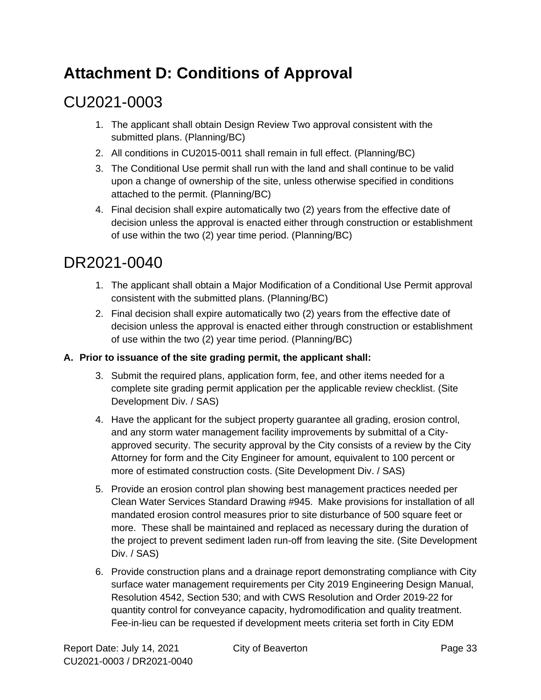# <span id="page-32-0"></span>**Attachment D: Conditions of Approval**

# CU2021-0003

- 1. The applicant shall obtain Design Review Two approval consistent with the submitted plans. (Planning/BC)
- 2. All conditions in CU2015-0011 shall remain in full effect. (Planning/BC)
- 3. The Conditional Use permit shall run with the land and shall continue to be valid upon a change of ownership of the site, unless otherwise specified in conditions attached to the permit. (Planning/BC)
- 4. Final decision shall expire automatically two (2) years from the effective date of decision unless the approval is enacted either through construction or establishment of use within the two (2) year time period. (Planning/BC)

## DR2021-0040

- 1. The applicant shall obtain a Major Modification of a Conditional Use Permit approval consistent with the submitted plans. (Planning/BC)
- 2. Final decision shall expire automatically two (2) years from the effective date of decision unless the approval is enacted either through construction or establishment of use within the two (2) year time period. (Planning/BC)

#### **A. Prior to issuance of the site grading permit, the applicant shall:**

- 3. Submit the required plans, application form, fee, and other items needed for a complete site grading permit application per the applicable review checklist. (Site Development Div. / SAS)
- 4. Have the applicant for the subject property guarantee all grading, erosion control, and any storm water management facility improvements by submittal of a Cityapproved security. The security approval by the City consists of a review by the City Attorney for form and the City Engineer for amount, equivalent to 100 percent or more of estimated construction costs. (Site Development Div. / SAS)
- 5. Provide an erosion control plan showing best management practices needed per Clean Water Services Standard Drawing #945. Make provisions for installation of all mandated erosion control measures prior to site disturbance of 500 square feet or more. These shall be maintained and replaced as necessary during the duration of the project to prevent sediment laden run-off from leaving the site. (Site Development Div. / SAS)
- 6. Provide construction plans and a drainage report demonstrating compliance with City surface water management requirements per City 2019 Engineering Design Manual, Resolution 4542, Section 530; and with CWS Resolution and Order 2019-22 for quantity control for conveyance capacity, hydromodification and quality treatment. Fee-in-lieu can be requested if development meets criteria set forth in City EDM